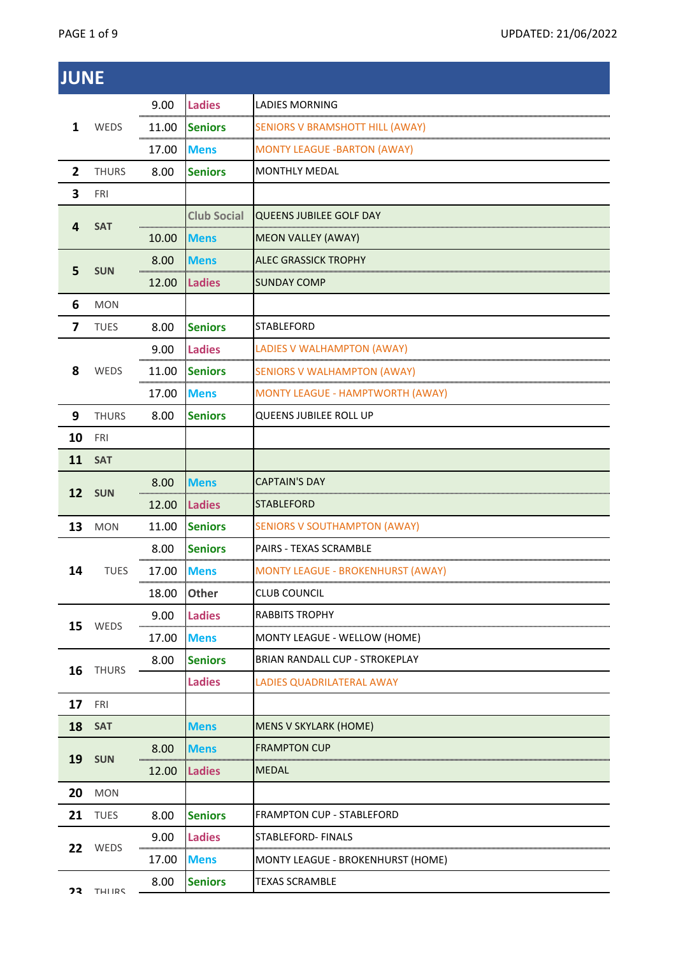| <b>JUNE</b>   |                                                                      |                    |                                          |  |                |                                       |
|---------------|----------------------------------------------------------------------|--------------------|------------------------------------------|--|----------------|---------------------------------------|
|               | 9.00                                                                 | <b>Ladies</b>      | <b>LADIES MORNING</b>                    |  |                |                                       |
| WEDS          | 11.00                                                                | <b>Seniors</b>     | SENIORS V BRAMSHOTT HILL (AWAY)          |  |                |                                       |
|               | 17.00                                                                | <b>Mens</b>        | <b>MONTY LEAGUE - BARTON (AWAY)</b>      |  |                |                                       |
| <b>THURS</b>  | 8.00                                                                 | <b>Seniors</b>     | <b>MONTHLY MEDAL</b>                     |  |                |                                       |
| FRI           |                                                                      |                    |                                          |  |                |                                       |
|               |                                                                      | <b>Club Social</b> | <b>QUEENS JUBILEE GOLF DAY</b>           |  |                |                                       |
|               | 10.00                                                                | <b>Mens</b>        | <b>MEON VALLEY (AWAY)</b>                |  |                |                                       |
|               | 8.00                                                                 | <b>Mens</b>        | <b>ALEC GRASSICK TROPHY</b>              |  |                |                                       |
|               | 12.00                                                                | <b>Ladies</b>      | <b>SUNDAY COMP</b>                       |  |                |                                       |
| <b>MON</b>    |                                                                      |                    |                                          |  |                |                                       |
| <b>TUES</b>   | 8.00                                                                 | <b>Seniors</b>     | <b>STABLEFORD</b>                        |  |                |                                       |
|               | 9.00                                                                 | <b>Ladies</b>      | LADIES V WALHAMPTON (AWAY)               |  |                |                                       |
| WEDS          | 11.00                                                                | <b>Seniors</b>     | <b>SENIORS V WALHAMPTON (AWAY)</b>       |  |                |                                       |
|               | 17.00                                                                | <b>Mens</b>        | <b>MONTY LEAGUE - HAMPTWORTH (AWAY)</b>  |  |                |                                       |
| <b>THURS</b>  | 8.00                                                                 | <b>Seniors</b>     | QUEENS JUBILEE ROLL UP                   |  |                |                                       |
| FRI           |                                                                      |                    |                                          |  |                |                                       |
| <b>SAT</b>    |                                                                      |                    |                                          |  |                |                                       |
|               | 8.00                                                                 | <b>Mens</b>        | <b>CAPTAIN'S DAY</b>                     |  |                |                                       |
|               | 12.00                                                                | <b>Ladies</b>      | <b>STABLEFORD</b>                        |  |                |                                       |
| <b>MON</b>    | 11.00                                                                | <b>Seniors</b>     | <b>SENIORS V SOUTHAMPTON (AWAY)</b>      |  |                |                                       |
|               | 8.00                                                                 | <b>Seniors</b>     | <b>PAIRS - TEXAS SCRAMBLE</b>            |  |                |                                       |
| <b>TUES</b>   | 17.00                                                                |                    | <b>MONTY LEAGUE - BROKENHURST (AWAY)</b> |  |                |                                       |
|               | 18.00                                                                | <b>Other</b>       | <b>CLUB COUNCIL</b>                      |  |                |                                       |
|               | 9.00                                                                 | <b>Ladies</b>      | <b>RABBITS TROPHY</b>                    |  |                |                                       |
|               | 17.00                                                                | <b>Mens</b>        | MONTY LEAGUE - WELLOW (HOME)             |  |                |                                       |
| <b>THURS</b>  |                                                                      | 16                 | 8.00                                     |  | <b>Seniors</b> | <b>BRIAN RANDALL CUP - STROKEPLAY</b> |
|               |                                                                      | <b>Ladies</b>      | <b>LADIES QUADRILATERAL AWAY</b>         |  |                |                                       |
| FRI           |                                                                      |                    |                                          |  |                |                                       |
| <b>SAT</b>    |                                                                      | <b>Mens</b>        | <b>MENS V SKYLARK (HOME)</b>             |  |                |                                       |
|               | 8.00                                                                 | <b>Mens</b>        | <b>FRAMPTON CUP</b>                      |  |                |                                       |
|               | 12.00                                                                | <b>Ladies</b>      | <b>MEDAL</b>                             |  |                |                                       |
| <b>MON</b>    |                                                                      |                    |                                          |  |                |                                       |
| <b>TUES</b>   | 8.00                                                                 | <b>Seniors</b>     | FRAMPTON CUP - STABLEFORD                |  |                |                                       |
|               | 9.00                                                                 | <b>Ladies</b>      | STABLEFORD-FINALS                        |  |                |                                       |
|               | 17.00                                                                | <b>Mens</b>        | MONTY LEAGUE - BROKENHURST (HOME)        |  |                |                                       |
| <b>THIIRS</b> | 8.00                                                                 | <b>Seniors</b>     | <b>TEXAS SCRAMBLE</b>                    |  |                |                                       |
|               | <b>SAT</b><br><b>SUN</b><br><b>SUN</b><br>WEDS<br><b>SUN</b><br>WEDS |                    | <b>Mens</b>                              |  |                |                                       |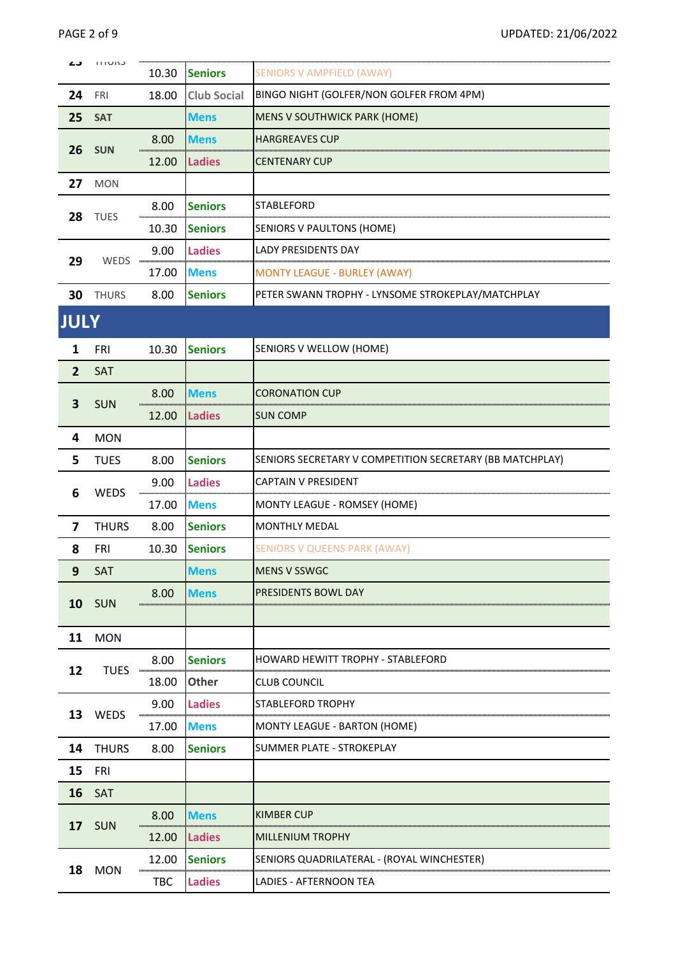| 43             | <b>UIUINJ</b> | 10.30                   | <b>Seniors</b>     | <b>SENIORS V AMPFIELD (AWAY)</b>                         |
|----------------|---------------|-------------------------|--------------------|----------------------------------------------------------|
| 24             | <b>FRI</b>    | 18.00                   | <b>Club Social</b> | BINGO NIGHT (GOLFER/NON GOLFER FROM 4PM)                 |
| 25             | <b>SAT</b>    |                         | <b>Mens</b>        | MENS V SOUTHWICK PARK (HOME)                             |
| 26             | <b>SUN</b>    | 8.00                    | <b>Mens</b>        | <b>HARGREAVES CUP</b>                                    |
|                |               | 12.00                   | <b>Ladies</b>      | <b>CENTENARY CUP</b>                                     |
| 27             | <b>MON</b>    |                         |                    |                                                          |
| 28             | <b>TUES</b>   | 8.00                    | <b>Seniors</b>     | <b>STABLEFORD</b>                                        |
|                |               | 10.30                   | <b>Seniors</b>     | <b>SENIORS V PAULTONS (HOME)</b>                         |
| 29             | WEDS          | 9.00<br>mun             | <b>Ladies</b>      | <b>LADY PRESIDENTS DAY</b>                               |
|                |               | 17.00                   | <b>Mens</b>        | <b>MONTY LEAGUE - BURLEY (AWAY)</b>                      |
| 30             | <b>THURS</b>  | 8.00                    | <b>Seniors</b>     | PETER SWANN TROPHY - LYNSOME STROKEPLAY/MATCHPLAY        |
| JULY           |               |                         |                    |                                                          |
| 1              | FRI           | 10.30                   | <b>Seniors</b>     | SENIORS V WELLOW (HOME)                                  |
| $\overline{2}$ | SAT           |                         |                    |                                                          |
| 3              | <b>SUN</b>    | 8.00                    | <b>Mens</b>        | <b>CORONATION CUP</b>                                    |
|                |               | 12.00                   | <b>Ladies</b>      | <b>SUN COMP</b>                                          |
| 4              | <b>MON</b>    |                         |                    |                                                          |
| 5              | <b>TUES</b>   | 8.00                    | <b>Seniors</b>     | SENIORS SECRETARY V COMPETITION SECRETARY (BB MATCHPLAY) |
| 6              | <b>WEDS</b>   | 9.00                    | <b>Ladies</b>      | <b>CAPTAIN V PRESIDENT</b>                               |
|                |               | 17.00                   | <b>Mens</b>        | MONTY LEAGUE - ROMSEY (HOME)                             |
| 7              | <b>THURS</b>  | 8.00                    | <b>Seniors</b>     | <b>MONTHLY MEDAL</b>                                     |
| 8              | FRI           | 10.30                   | <b>Seniors</b>     | <b>SENIORS V QUEENS PARK (AWAY)</b>                      |
| 9              | SAT           |                         | <b>Mens</b>        | <b>MENS V SSWGC</b>                                      |
| 10             | <b>SUN</b>    | 8.00                    | Mens               | PRESIDENTS BOWL DAY                                      |
|                |               |                         |                    |                                                          |
| 11             | <b>MON</b>    |                         |                    |                                                          |
| 12             | <b>TUES</b>   | 8.00<br>,,,,,,,,,,,,,,  | <b>Seniors</b>     | HOWARD HEWITT TROPHY - STABLEFORD                        |
|                |               | 18.00                   | <b>Other</b>       | CLUB COUNCIL                                             |
| 13             | WEDS          | 9.00<br>,,,,,,,,,,,,,,, | <b>Ladies</b>      | <b>STABLEFORD TROPHY</b>                                 |
|                |               | 17.00                   | <b>Mens</b>        | MONTY LEAGUE - BARTON (HOME)                             |
| 14             | <b>THURS</b>  | 8.00                    | <b>Seniors</b>     | <b>SUMMER PLATE - STROKEPLAY</b>                         |
| 15             | FRI           |                         |                    |                                                          |
| 16             | SAT           |                         |                    |                                                          |
| 17             | <b>SUN</b>    | 8.00                    | <b>Mens</b>        | <b>KIMBER CUP</b>                                        |
|                |               | 12.00                   | <b>Ladies</b>      | <b>MILLENIUM TROPHY</b>                                  |
| 18             | <b>MON</b>    | 12.00                   | <b>Seniors</b>     | SENIORS QUADRILATERAL - (ROYAL WINCHESTER)               |
|                |               | <b>TBC</b>              | <b>Ladies</b>      | LADIES - AFTERNOON TEA                                   |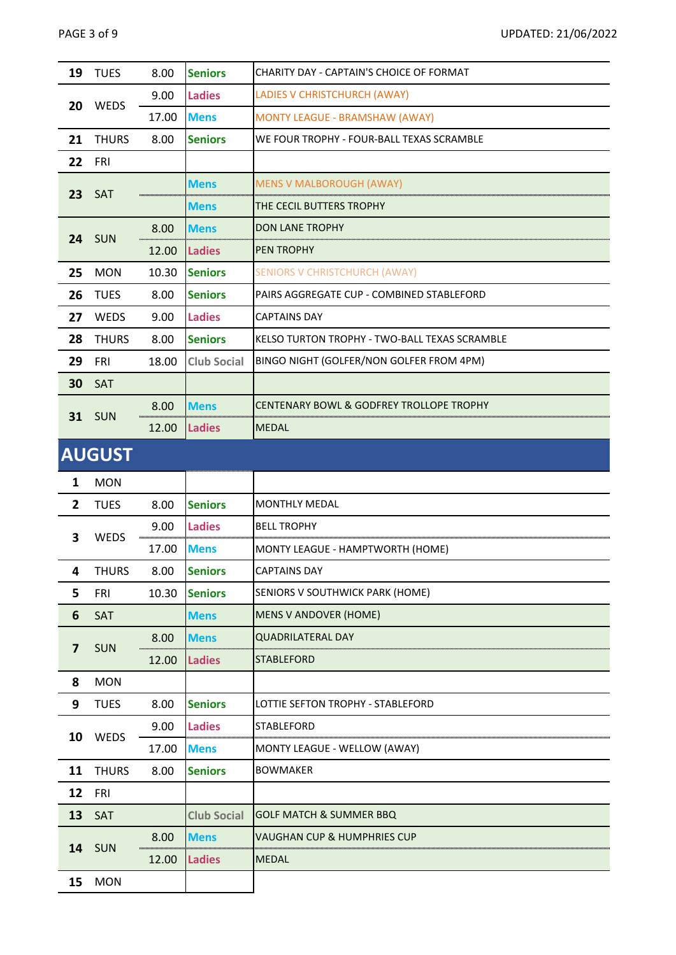| 19               | <b>TUES</b>   | 8.00  | <b>Seniors</b>     | CHARITY DAY - CAPTAIN'S CHOICE OF FORMAT            |
|------------------|---------------|-------|--------------------|-----------------------------------------------------|
| 20               | <b>WEDS</b>   | 9.00  | <b>Ladies</b>      | LADIES V CHRISTCHURCH (AWAY)                        |
|                  |               | 17.00 | <b>Mens</b>        | <b>MONTY LEAGUE - BRAMSHAW (AWAY)</b>               |
| 21               | <b>THURS</b>  | 8.00  | <b>Seniors</b>     | WE FOUR TROPHY - FOUR-BALL TEXAS SCRAMBLE           |
| 22               | FRI           |       |                    |                                                     |
|                  |               |       | <b>Mens</b>        | <b>MENS V MALBOROUGH (AWAY)</b>                     |
| 23               | SAT           |       | Mens               | THE CECIL BUTTERS TROPHY                            |
|                  |               | 8.00  | <b>Mens</b>        | <b>DON LANE TROPHY</b>                              |
| 24               | <b>SUN</b>    | 12.00 | <b>Ladies</b>      | <b>PEN TROPHY</b>                                   |
| 25               | <b>MON</b>    | 10.30 | <b>Seniors</b>     | <b>SENIORS V CHRISTCHURCH (AWAY)</b>                |
| 26               | <b>TUES</b>   | 8.00  | <b>Seniors</b>     | PAIRS AGGREGATE CUP - COMBINED STABLEFORD           |
| 27               | WEDS          | 9.00  | <b>Ladies</b>      | <b>CAPTAINS DAY</b>                                 |
| 28               | <b>THURS</b>  | 8.00  | <b>Seniors</b>     | KELSO TURTON TROPHY - TWO-BALL TEXAS SCRAMBLE       |
| 29               | FRI           | 18.00 | <b>Club Social</b> | BINGO NIGHT (GOLFER/NON GOLFER FROM 4PM)            |
| 30               | SAT           |       |                    |                                                     |
|                  |               | 8.00  | <b>Mens</b>        | <b>CENTENARY BOWL &amp; GODFREY TROLLOPE TROPHY</b> |
| <b>SUN</b><br>31 |               | 12.00 | <b>Ladies</b>      | <b>MEDAL</b>                                        |
|                  | <b>AUGUST</b> |       |                    |                                                     |
| 1                | <b>MON</b>    |       |                    |                                                     |
| $\overline{2}$   | <b>TUES</b>   | 8.00  | <b>Seniors</b>     | <b>MONTHLY MEDAL</b>                                |
|                  |               | 9.00  | <b>Ladies</b>      | <b>BELL TROPHY</b>                                  |
| 3                | WEDS          | 17.00 | <b>Mens</b>        | MONTY LEAGUE - HAMPTWORTH (HOME)                    |
| 4                | <b>THURS</b>  | 8.00  | <b>Seniors</b>     | <b>CAPTAINS DAY</b>                                 |
| 5                | <b>FRI</b>    | 10.30 | <b>Seniors</b>     | SENIORS V SOUTHWICK PARK (HOME)                     |
| 6                | SAT           |       | <b>Mens</b>        | MENS V ANDOVER (HOME)                               |
|                  |               | 8.00  | <b>Mens</b>        | <b>QUADRILATERAL DAY</b>                            |
| 7                | <b>SUN</b>    | 12.00 | <b>Ladies</b>      | <b>STABLEFORD</b>                                   |
| 8                | <b>MON</b>    |       |                    |                                                     |
| 9                | <b>TUES</b>   | 8.00  | <b>Seniors</b>     | LOTTIE SEFTON TROPHY - STABLEFORD                   |
|                  |               | 9.00  | <b>Ladies</b>      | <b>STABLEFORD</b>                                   |
| 10               | WEDS          | 17.00 | <b>Mens</b>        | MONTY LEAGUE - WELLOW (AWAY)                        |
| 11               | <b>THURS</b>  | 8.00  | <b>Seniors</b>     | <b>BOWMAKER</b>                                     |
| 12               | FRI           |       |                    |                                                     |
| 13               | SAT           |       | <b>Club Social</b> | <b>GOLF MATCH &amp; SUMMER BBQ</b>                  |
|                  |               | 8.00  | <b>Mens</b>        | VAUGHAN CUP & HUMPHRIES CUP                         |
| 14               | <b>SUN</b>    | 12.00 | <b>Ladies</b>      | <b>MEDAL</b>                                        |
| 15               | <b>MON</b>    |       |                    |                                                     |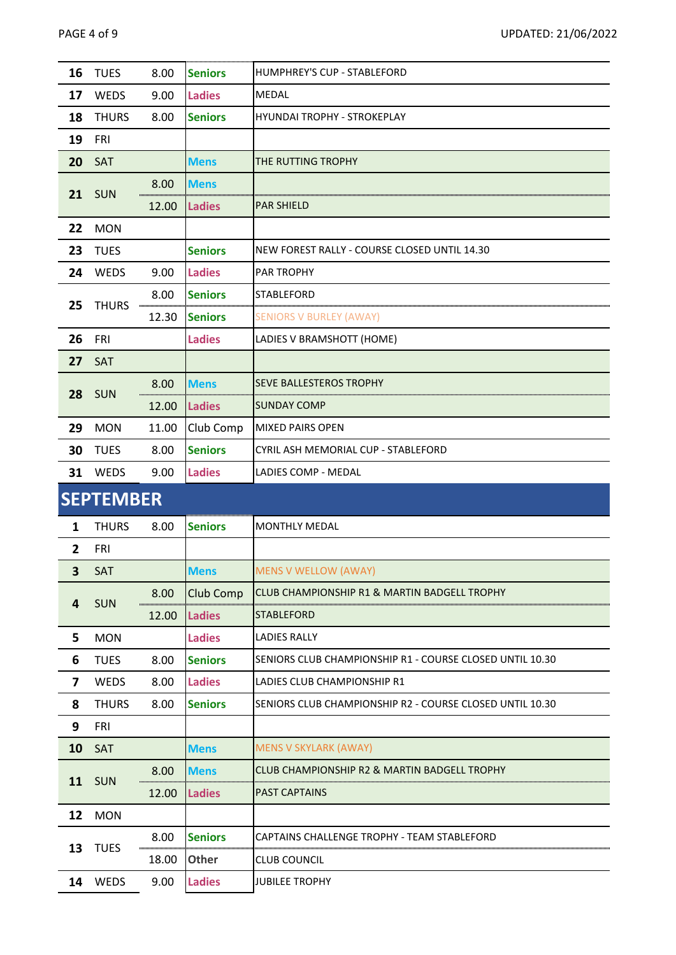| 16                      | <b>TUES</b>      | 8.00             | <b>Seniors</b> | HUMPHREY'S CUP - STABLEFORD                              |
|-------------------------|------------------|------------------|----------------|----------------------------------------------------------|
| 17                      | WEDS             | 9.00             | <b>Ladies</b>  | <b>MEDAL</b>                                             |
| 18                      | <b>THURS</b>     | 8.00             | <b>Seniors</b> | <b>HYUNDAI TROPHY - STROKEPLAY</b>                       |
| 19                      | <b>FRI</b>       |                  |                |                                                          |
| 20                      | SAT              |                  | <b>Mens</b>    | THE RUTTING TROPHY                                       |
|                         |                  | 8.00             | <b>Mens</b>    |                                                          |
| 21                      | <b>SUN</b>       | 12.00            | <b>Ladies</b>  | <b>PAR SHIELD</b>                                        |
| 22                      | <b>MON</b>       |                  |                |                                                          |
| 23                      | <b>TUES</b>      |                  | <b>Seniors</b> | NEW FOREST RALLY - COURSE CLOSED UNTIL 14.30             |
| 24                      | WEDS             | 9.00             | <b>Ladies</b>  | <b>PAR TROPHY</b>                                        |
|                         |                  | 8.00             | <b>Seniors</b> | <b>STABLEFORD</b>                                        |
| 25                      | <b>THURS</b>     | 1000000<br>12.30 | <b>Seniors</b> | <b>SENIORS V BURLEY (AWAY)</b>                           |
| 26                      | FRI              |                  | <b>Ladies</b>  | LADIES V BRAMSHOTT (HOME)                                |
| 27                      | SAT              |                  |                |                                                          |
|                         |                  | 8.00             | <b>Mens</b>    | SEVE BALLESTEROS TROPHY                                  |
| 28                      | <b>SUN</b>       | 12.00            | <b>Ladies</b>  | <b>SUNDAY COMP</b>                                       |
| 29                      | <b>MON</b>       | 11.00            | Club Comp      | <b>MIXED PAIRS OPEN</b>                                  |
| 30                      | <b>TUES</b>      | 8.00             | <b>Seniors</b> | CYRIL ASH MEMORIAL CUP - STABLEFORD                      |
| 31                      | WEDS             | 9.00             | <b>Ladies</b>  | LADIES COMP - MEDAL                                      |
|                         |                  |                  |                |                                                          |
|                         | <b>SEPTEMBER</b> |                  |                |                                                          |
| $\mathbf{1}$            | <b>THURS</b>     | 8.00             | <b>Seniors</b> | <b>MONTHLY MEDAL</b>                                     |
| $\overline{2}$          | <b>FRI</b>       |                  |                |                                                          |
| $\overline{\mathbf{3}}$ | SAT              |                  | <b>Mens</b>    | <b>MENS V WELLOW (AWAY)</b>                              |
|                         |                  | 8.00             | Club Comp      | CLUB CHAMPIONSHIP R1 & MARTIN BADGELL TROPHY             |
| 4                       | <b>SUN</b>       | 12.00            | <b>Ladies</b>  | STABLEFORD                                               |
| 5                       | <b>MON</b>       |                  | <b>Ladies</b>  | <b>LADIES RALLY</b>                                      |
| 6                       | <b>TUES</b>      | 8.00             | <b>Seniors</b> | SENIORS CLUB CHAMPIONSHIP R1 - COURSE CLOSED UNTIL 10.30 |
| 7                       | WEDS             | 8.00             | <b>Ladies</b>  | LADIES CLUB CHAMPIONSHIP R1                              |
| 8                       | <b>THURS</b>     | 8.00             | <b>Seniors</b> | SENIORS CLUB CHAMPIONSHIP R2 - COURSE CLOSED UNTIL 10.30 |
| 9                       | <b>FRI</b>       |                  |                |                                                          |
| 10                      | SAT              |                  | <b>Mens</b>    | <b>MENS V SKYLARK (AWAY)</b>                             |
|                         |                  | 8.00             | <b>Mens</b>    | <b>CLUB CHAMPIONSHIP R2 &amp; MARTIN BADGELL TROPHY</b>  |
| 11                      | <b>SUN</b>       | 12.00            | <b>Ladies</b>  | <b>PAST CAPTAINS</b>                                     |
| 12                      | <b>MON</b>       |                  |                |                                                          |
|                         |                  | 8.00             | <b>Seniors</b> | CAPTAINS CHALLENGE TROPHY - TEAM STABLEFORD              |
| 13                      | <b>TUES</b>      | 18.00            | Other          | <b>CLUB COUNCIL</b>                                      |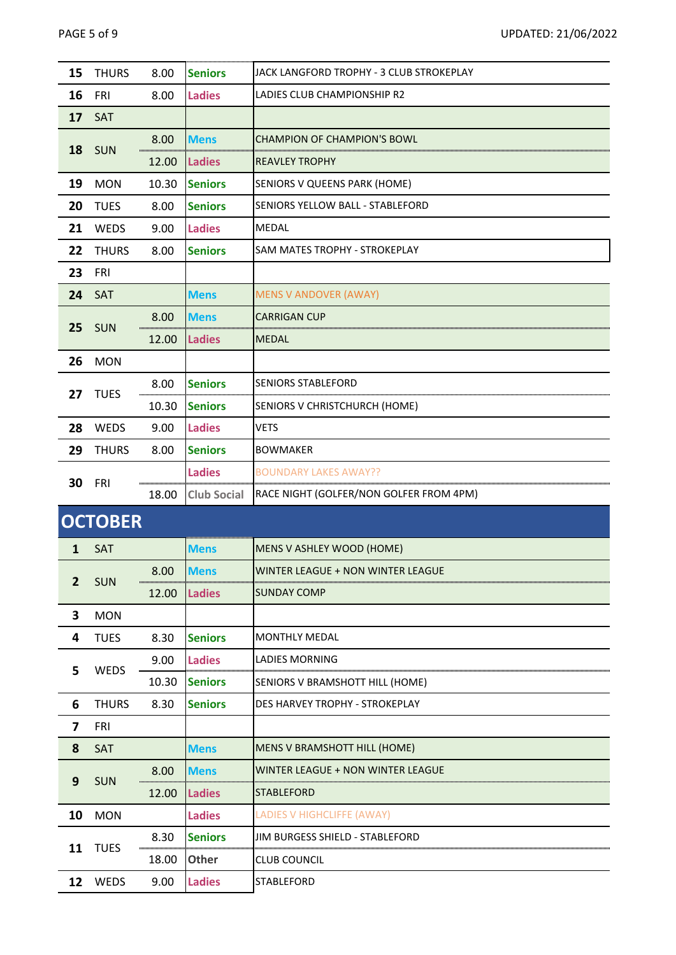| 15                      | <b>THURS</b>   | 8.00          | <b>Seniors</b>                  | JACK LANGFORD TROPHY - 3 CLUB STROKEPLAY         |
|-------------------------|----------------|---------------|---------------------------------|--------------------------------------------------|
| 16                      | FRI            | 8.00          | <b>Ladies</b>                   | LADIES CLUB CHAMPIONSHIP R2                      |
| 17                      | SAT            |               |                                 |                                                  |
|                         |                | 8.00          | <b>Mens</b>                     | <b>CHAMPION OF CHAMPION'S BOWL</b>               |
| 18                      | <b>SUN</b>     | 12.00         | <b>Ladies</b>                   | <b>REAVLEY TROPHY</b>                            |
| 19                      | <b>MON</b>     | 10.30         | <b>Seniors</b>                  | SENIORS V QUEENS PARK (HOME)                     |
| 20                      | <b>TUES</b>    | 8.00          | <b>Seniors</b>                  | SENIORS YELLOW BALL - STABLEFORD                 |
| 21                      | WEDS           | 9.00          | <b>Ladies</b>                   | MEDAL                                            |
| 22                      | <b>THURS</b>   | 8.00          | <b>Seniors</b>                  | SAM MATES TROPHY - STROKEPLAY                    |
| 23                      | FRI            |               |                                 |                                                  |
| 24                      | SAT            |               | <b>Mens</b>                     | <b>MENS V ANDOVER (AWAY)</b>                     |
|                         |                | 8.00          | <b>Mens</b>                     | <b>CARRIGAN CUP</b>                              |
| 25                      | <b>SUN</b>     | 12.00         | <b>Ladies</b>                   | <b>MEDAL</b>                                     |
| 26                      | <b>MON</b>     |               |                                 |                                                  |
|                         |                | 8.00          | <b>Seniors</b>                  | SENIORS STABLEFORD                               |
| 27                      | <b>TUES</b>    | 10.30         | <b>Seniors</b>                  | SENIORS V CHRISTCHURCH (HOME)                    |
| 28                      | WEDS           | 9.00          | <b>Ladies</b>                   | <b>VETS</b>                                      |
| 29                      | <b>THURS</b>   | 8.00          | <b>Seniors</b>                  | <b>BOWMAKER</b>                                  |
|                         |                |               | <b>Ladies</b>                   | BOUNDARY LAKES AWAY??                            |
|                         |                |               |                                 |                                                  |
| 30                      | FRI            | 18.00         | <b>Club Social</b>              | RACE NIGHT (GOLFER/NON GOLFER FROM 4PM)          |
|                         |                |               |                                 |                                                  |
|                         | <b>OCTOBER</b> |               |                                 |                                                  |
| 1                       | SAT            |               | <b>Mens</b>                     | MENS V ASHLEY WOOD (HOME)                        |
| $\overline{2}$          | <b>SUN</b>     | 8.00          | <b>Mens</b>                     | WINTER LEAGUE + NON WINTER LEAGUE<br>SUNDAY COMP |
|                         |                | 12.00         | <b>Ladies</b>                   |                                                  |
| 3<br>4                  | <b>MON</b>     |               |                                 | <b>MONTHLY MEDAL</b>                             |
|                         | <b>TUES</b>    | 8.30          | <b>Seniors</b>                  | LADIES MORNING                                   |
| 5                       | WEDS           | 9.00<br>10.30 | <b>Ladies</b><br><b>Seniors</b> | SENIORS V BRAMSHOTT HILL (HOME)                  |
| 6                       | <b>THURS</b>   | 8.30          | <b>Seniors</b>                  | DES HARVEY TROPHY - STROKEPLAY                   |
| $\overline{\mathbf{z}}$ | FRI            |               |                                 |                                                  |
| 8                       | SAT            |               | <b>Mens</b>                     | MENS V BRAMSHOTT HILL (HOME)                     |
|                         |                | 8.00          | <b>Mens</b>                     | WINTER LEAGUE + NON WINTER LEAGUE                |
| 9                       | <b>SUN</b>     | 12.00         | <b>Ladies</b>                   | <b>STABLEFORD</b>                                |
| 10                      | <b>MON</b>     |               | <b>Ladies</b>                   | <b>LADIES V HIGHCLIFFE (AWAY)</b>                |
|                         |                | 8.30          | <b>Seniors</b>                  | JIM BURGESS SHIELD - STABLEFORD                  |
| 11                      | <b>TUES</b>    | 18.00         | Other                           | <b>CLUB COUNCIL</b>                              |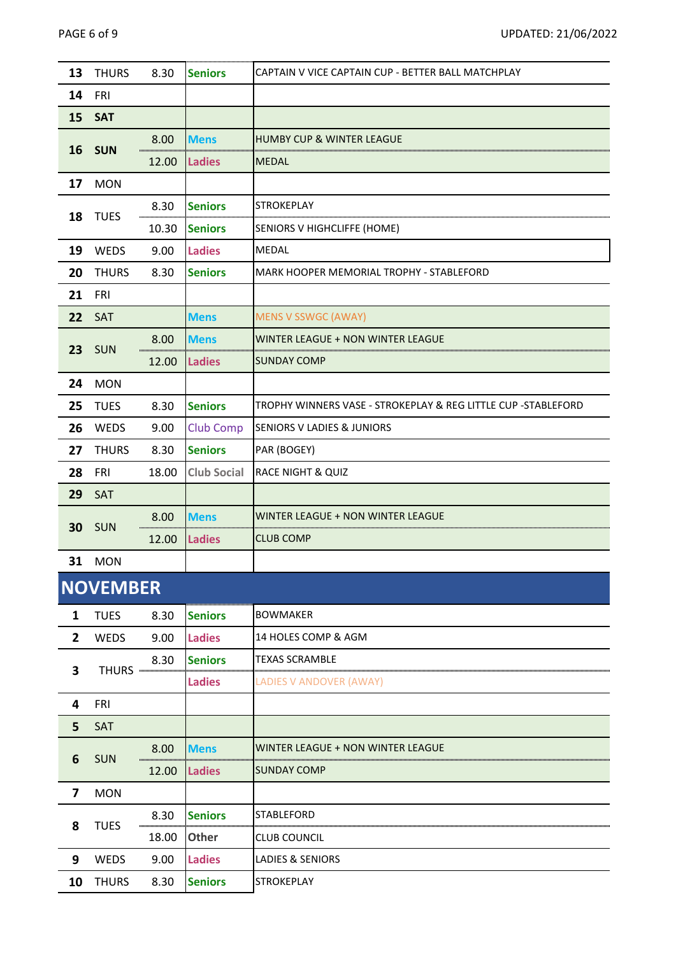| 13                      | <b>THURS</b>    | 8.30                                | <b>Seniors</b>     | CAPTAIN V VICE CAPTAIN CUP - BETTER BALL MATCHPLAY             |
|-------------------------|-----------------|-------------------------------------|--------------------|----------------------------------------------------------------|
| 14                      | FRI             |                                     |                    |                                                                |
| 15                      | <b>SAT</b>      |                                     |                    |                                                                |
| 16                      |                 | 8.00                                | <b>Mens</b>        | <b>HUMBY CUP &amp; WINTER LEAGUE</b>                           |
|                         | <b>SUN</b>      | 12.00                               | <b>Ladies</b>      | <b>MEDAL</b>                                                   |
| 17                      | <b>MON</b>      |                                     |                    |                                                                |
| 18                      | <b>TUES</b>     | 8.30                                | <b>Seniors</b>     | <b>STROKEPLAY</b>                                              |
|                         |                 | 10.30                               | <b>Seniors</b>     | SENIORS V HIGHCLIFFE (HOME)                                    |
| 19                      | WEDS            | 9.00                                | <b>Ladies</b>      | <b>MEDAL</b>                                                   |
| 20                      | <b>THURS</b>    | 8.30                                | <b>Seniors</b>     | MARK HOOPER MEMORIAL TROPHY - STABLEFORD                       |
| 21                      | <b>FRI</b>      |                                     |                    |                                                                |
| 22                      | SAT             |                                     | <b>Mens</b>        | <b>MENS V SSWGC (AWAY)</b>                                     |
| 23                      | <b>SUN</b>      | 8.00                                | <b>Mens</b>        | WINTER LEAGUE + NON WINTER LEAGUE                              |
|                         |                 | 12.00                               | <b>Ladies</b>      | <b>SUNDAY COMP</b>                                             |
| 24                      | <b>MON</b>      |                                     |                    |                                                                |
| 25                      | <b>TUES</b>     | 8.30                                | <b>Seniors</b>     | TROPHY WINNERS VASE - STROKEPLAY & REG LITTLE CUP - STABLEFORD |
| 26                      | WEDS            | 9.00                                | <b>Club Comp</b>   | <b>SENIORS V LADIES &amp; JUNIORS</b>                          |
| 27                      | <b>THURS</b>    | 8.30                                | <b>Seniors</b>     | PAR (BOGEY)                                                    |
| 28                      | FRI             | 18.00                               | <b>Club Social</b> | <b>RACE NIGHT &amp; QUIZ</b>                                   |
| 29                      | SAT             |                                     |                    |                                                                |
| 30                      | <b>SUN</b>      | 8.00                                | <b>Mens</b>        | WINTER LEAGUE + NON WINTER LEAGUE                              |
|                         |                 | 12.00                               | <b>Ladies</b>      | <b>CLUB COMP</b>                                               |
| 31                      | <b>MON</b>      |                                     |                    |                                                                |
|                         | <b>NOVEMBER</b> |                                     |                    |                                                                |
| 1                       | <b>TUES</b>     | 8.30                                | <b>Seniors</b>     | <b>BOWMAKER</b>                                                |
| $\overline{2}$          | WEDS            | 9.00                                | <b>Ladies</b>      | 14 HOLES COMP & AGM                                            |
|                         |                 | 8.30                                | <b>Seniors</b>     | TEXAS SCRAMBLE                                                 |
| 3                       |                 | <b>THURS ----------------------</b> | <b>Ladies</b>      | <b>LADIES V ANDOVER (AWAY)</b>                                 |
| 4                       | FRI             |                                     |                    |                                                                |
| 5                       | SAT             |                                     |                    |                                                                |
|                         |                 | 8.00                                | <b>Mens</b>        | WINTER LEAGUE + NON WINTER LEAGUE                              |
| 6                       | <b>SUN</b>      | 12.00                               | <b>Ladies</b>      | <b>SUNDAY COMP</b>                                             |
| $\overline{\mathbf{z}}$ | <b>MON</b>      |                                     |                    |                                                                |
|                         |                 | 8.30                                | <b>Seniors</b>     | STABLEFORD                                                     |
| 8                       | <b>TUES</b>     | 18.00                               | <b>Other</b>       | <b>CLUB COUNCIL</b>                                            |
| 9                       | WEDS            | 9.00                                | <b>Ladies</b>      | <b>LADIES &amp; SENIORS</b>                                    |
| 10                      | <b>THURS</b>    | 8.30                                | <b>Seniors</b>     | STROKEPLAY                                                     |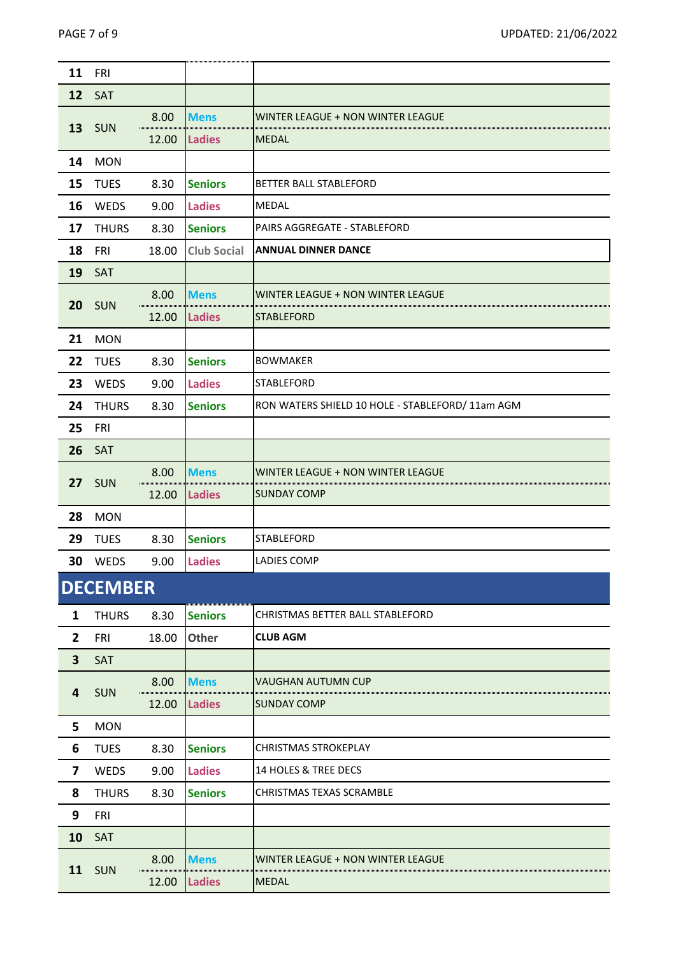| 11                      | <b>FRI</b>      |       |                    |                                                  |
|-------------------------|-----------------|-------|--------------------|--------------------------------------------------|
| 12                      | SAT             |       |                    |                                                  |
|                         |                 | 8.00  | <b>Mens</b>        | WINTER LEAGUE + NON WINTER LEAGUE                |
| 13                      | <b>SUN</b>      | 12.00 | <b>Ladies</b>      | <b>MEDAL</b>                                     |
| 14                      | <b>MON</b>      |       |                    |                                                  |
| 15                      | <b>TUES</b>     | 8.30  | <b>Seniors</b>     | BETTER BALL STABLEFORD                           |
| 16                      | <b>WEDS</b>     | 9.00  | <b>Ladies</b>      | <b>MEDAL</b>                                     |
| 17                      | <b>THURS</b>    | 8.30  | <b>Seniors</b>     | PAIRS AGGREGATE - STABLEFORD                     |
| 18                      | FRI             | 18.00 | <b>Club Social</b> | <b>ANNUAL DINNER DANCE</b>                       |
| 19                      | SAT             |       |                    |                                                  |
|                         |                 | 8.00  | <b>Mens</b>        | <b>WINTER LEAGUE + NON WINTER LEAGUE</b>         |
| 20                      | <b>SUN</b>      | 12.00 | <b>Ladies</b>      | <b>STABLEFORD</b>                                |
| 21                      | <b>MON</b>      |       |                    |                                                  |
| 22                      | <b>TUES</b>     | 8.30  | <b>Seniors</b>     | <b>BOWMAKER</b>                                  |
| 23                      | WEDS            | 9.00  | <b>Ladies</b>      | <b>STABLEFORD</b>                                |
| 24                      | <b>THURS</b>    | 8.30  | <b>Seniors</b>     | RON WATERS SHIELD 10 HOLE - STABLEFORD/ 11am AGM |
| 25                      | <b>FRI</b>      |       |                    |                                                  |
| 26                      | SAT             |       |                    |                                                  |
|                         |                 | 8.00  | <b>Mens</b>        | WINTER LEAGUE + NON WINTER LEAGUE                |
| 27                      | <b>SUN</b>      | 12.00 | <b>Ladies</b>      | <b>SUNDAY COMP</b>                               |
| 28                      | <b>MON</b>      |       |                    |                                                  |
| 29                      | <b>TUES</b>     | 8.30  | <b>Seniors</b>     | <b>STABLEFORD</b>                                |
| 30                      | WEDS            | 9.00  | <b>Ladies</b>      | <b>LADIES COMP</b>                               |
|                         | <b>DECEMBER</b> |       |                    |                                                  |
|                         |                 |       |                    |                                                  |
| $\mathbf{1}$            | <b>THURS</b>    | 8.30  | <b>Seniors</b>     | CHRISTMAS BETTER BALL STABLEFORD                 |
| $\overline{2}$          | <b>FRI</b>      | 18.00 | Other              | <b>CLUB AGM</b>                                  |
| $\overline{\mathbf{3}}$ | SAT             |       |                    |                                                  |
| 4                       | <b>SUN</b>      | 8.00  | <b>Mens</b>        | VAUGHAN AUTUMN CUP                               |
|                         |                 | 12.00 | <b>Ladies</b>      | SUNDAY COMP                                      |
| 5                       | <b>MON</b>      |       |                    |                                                  |
| 6                       | <b>TUES</b>     | 8.30  | <b>Seniors</b>     | <b>CHRISTMAS STROKEPLAY</b>                      |
| $\overline{\mathbf{z}}$ | WEDS            | 9.00  | <b>Ladies</b>      | 14 HOLES & TREE DECS                             |
| 8                       | <b>THURS</b>    | 8.30  | <b>Seniors</b>     | <b>CHRISTMAS TEXAS SCRAMBLE</b>                  |
| 9                       | FRI             |       |                    |                                                  |
| 10                      | SAT             |       |                    |                                                  |
|                         |                 | 8.00  | <b>Mens</b>        | <b>WINTER LEAGUE + NON WINTER LEAGUE</b>         |
| 11                      | <b>SUN</b>      | 12.00 | <b>Ladies</b>      | <b>MEDAL</b>                                     |